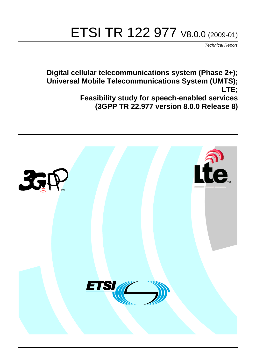# ETSI TR 122 977 V8.0.0 (2009-01)

*Technical Report*

**Digital cellular telecommunications system (Phase 2+); Universal Mobile Telecommunications System (UMTS); LTE; Feasibility study for speech-enabled services (3GPP TR 22.977 version 8.0.0 Release 8)**

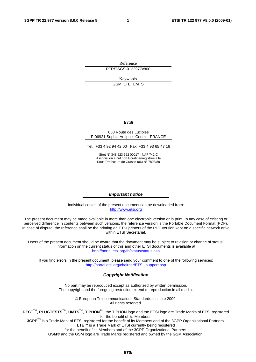Reference RTR/TSGS-0122977v800

Keywords

GSM, LTE, UMTS

#### *ETSI*

#### 650 Route des Lucioles F-06921 Sophia Antipolis Cedex - FRANCE

Tel.: +33 4 92 94 42 00 Fax: +33 4 93 65 47 16

Siret N° 348 623 562 00017 - NAF 742 C Association à but non lucratif enregistrée à la Sous-Préfecture de Grasse (06) N° 7803/88

#### *Important notice*

Individual copies of the present document can be downloaded from: [http://www.etsi.org](http://www.etsi.org/)

The present document may be made available in more than one electronic version or in print. In any case of existing or perceived difference in contents between such versions, the reference version is the Portable Document Format (PDF). In case of dispute, the reference shall be the printing on ETSI printers of the PDF version kept on a specific network drive within ETSI Secretariat.

Users of the present document should be aware that the document may be subject to revision or change of status. Information on the current status of this and other ETSI documents is available at <http://portal.etsi.org/tb/status/status.asp>

If you find errors in the present document, please send your comment to one of the following services: [http://portal.etsi.org/chaircor/ETSI\\_support.asp](http://portal.etsi.org/chaircor/ETSI_support.asp)

#### *Copyright Notification*

No part may be reproduced except as authorized by written permission. The copyright and the foregoing restriction extend to reproduction in all media.

> © European Telecommunications Standards Institute 2009. All rights reserved.

**DECT**TM, **PLUGTESTS**TM, **UMTS**TM, **TIPHON**TM, the TIPHON logo and the ETSI logo are Trade Marks of ETSI registered for the benefit of its Members.

**3GPP**TM is a Trade Mark of ETSI registered for the benefit of its Members and of the 3GPP Organizational Partners. **LTE**™ is a Trade Mark of ETSI currently being registered

for the benefit of its Members and of the 3GPP Organizational Partners.

**GSM**® and the GSM logo are Trade Marks registered and owned by the GSM Association.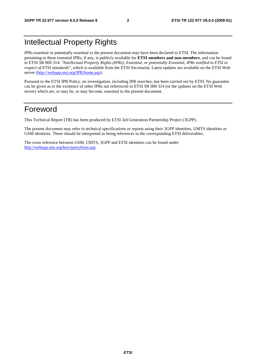# Intellectual Property Rights

IPRs essential or potentially essential to the present document may have been declared to ETSI. The information pertaining to these essential IPRs, if any, is publicly available for **ETSI members and non-members**, and can be found in ETSI SR 000 314: *"Intellectual Property Rights (IPRs); Essential, or potentially Essential, IPRs notified to ETSI in respect of ETSI standards"*, which is available from the ETSI Secretariat. Latest updates are available on the ETSI Web server [\(http://webapp.etsi.org/IPR/home.asp\)](http://webapp.etsi.org/IPR/home.asp).

Pursuant to the ETSI IPR Policy, no investigation, including IPR searches, has been carried out by ETSI. No guarantee can be given as to the existence of other IPRs not referenced in ETSI SR 000 314 (or the updates on the ETSI Web server) which are, or may be, or may become, essential to the present document.

# Foreword

This Technical Report (TR) has been produced by ETSI 3rd Generation Partnership Project (3GPP).

The present document may refer to technical specifications or reports using their 3GPP identities, UMTS identities or GSM identities. These should be interpreted as being references to the corresponding ETSI deliverables.

The cross reference between GSM, UMTS, 3GPP and ETSI identities can be found under [http://webapp.etsi.org/key/queryform.asp.](http://webapp.etsi.org/key/queryform.asp)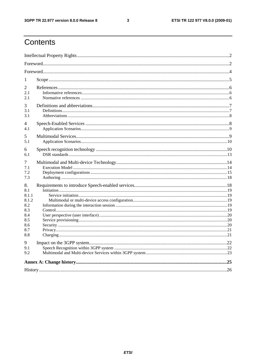$\mathbf{3}$ 

# Contents

| 1                                                |  |  |  |  |  |  |
|--------------------------------------------------|--|--|--|--|--|--|
| 2<br>2.1<br>2.1                                  |  |  |  |  |  |  |
| 3<br>3.1<br>3.1                                  |  |  |  |  |  |  |
| 4<br>4.1                                         |  |  |  |  |  |  |
| 5<br>5.1                                         |  |  |  |  |  |  |
| 6<br>6.1                                         |  |  |  |  |  |  |
| 7<br>7.1<br>7.2<br>7.3                           |  |  |  |  |  |  |
| 8.<br>8.1<br>8.1.1<br>8.1.2<br>8.2<br>8.3<br>8.4 |  |  |  |  |  |  |
| 8.5<br>8.6<br>8.7<br>8.8                         |  |  |  |  |  |  |
| 9<br>9.1<br>9.2                                  |  |  |  |  |  |  |
|                                                  |  |  |  |  |  |  |
|                                                  |  |  |  |  |  |  |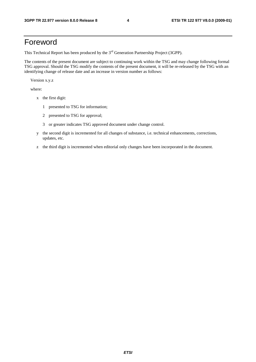# Foreword

This Technical Report has been produced by the  $3<sup>rd</sup>$  Generation Partnership Project (3GPP).

The contents of the present document are subject to continuing work within the TSG and may change following formal TSG approval. Should the TSG modify the contents of the present document, it will be re-released by the TSG with an identifying change of release date and an increase in version number as follows:

Version x.y.z

where:

- x the first digit:
	- 1 presented to TSG for information;
	- 2 presented to TSG for approval;
	- 3 or greater indicates TSG approved document under change control.
- y the second digit is incremented for all changes of substance, i.e. technical enhancements, corrections, updates, etc.
- z the third digit is incremented when editorial only changes have been incorporated in the document.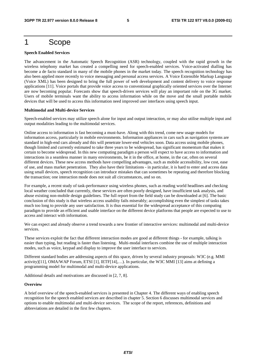# 1 Scope

#### **Speech Enabled Services**

The advancement in the Automatic Speech Recognition (ASR) technology, coupled with the rapid growth in the wireless telephony market has created a compelling need for speech-enabled services. Voice-activated dialling has become a de facto standard in many of the mobile phones in the market today. The speech recognition technology has also been applied more recently to voice messaging and personal access services. A Voice Extensible Markup Language (Voice XML) has been designed to bring the full power of web development and content delivery to voice response applications [11]. Voice portals that provide voice access to conventional graphically oriented services over the Internet are now becoming popular. Forecasts show that speech-driven services will play an important role on the 3G market. Users of mobile terminals want the ability to access information while on the move and the small portable mobile devices that will be used to access this information need improved user interfaces using speech input.

#### **Multimodal and Multi-device Services**

Speech-enabled services may utilize speech alone for input and output interaction, or may also utilise multiple input and output modalities leading to the multimodal services.

Online access to information is fast becoming a must-have. Along with this trend, come new usage models for information access, particularly in mobile environments. Information appliances in cars such as navigation systems are standard in high-end cars already and this will penetrate lower-end vehicles soon. Data access using mobile phones, though limited and currently estimated to take three years to be widespread, has significant momentum that makes it certain to become widespread. In this new computing paradigm a person will expect to have access to information and interactions in a seamless manner in many environments, be it in the office, at home, in the car, often on several different devices. These new access methods have compelling advantages, such as mobile accessibility, low cost, ease of use, and mass market penetration. They also have their limitations - in particular, it is hard to enter and access data using small devices, speech recognition can introduce mistakes that can sometimes be repeating and therefore blocking the transaction; one interaction mode does not suit all circumstances, and so on.

For example, a recent study of task-performance using wireless phones, such as reading world headlines and checking local weather concluded that currently, these services are often poorly designed, have insufficient task analysis, and abuse existing non-mobile design guidelines. The full report from the field study can be downloaded at [6]. The basic conclusion of this study is that wireless access usability fails miserably; accomplishing even the simplest of tasks takes much too long to provide any user satisfaction. It is thus essential for the widespread acceptance of this computing paradigm to provide an efficient and usable interface on the different device platforms that people are expected to use to access and interact with information.

We can expect and already observe a trend towards a new frontier of interactive services: multimodal and multi-device services.

These services exploit the fact that different interaction modes are good at different things - for example, talking is easier than typing, but reading is faster than listening. Multi-modal interfaces combine the use of multiple interaction modes, such as voice, keypad and display to improve the user interface to services.

Different standard bodies are addressing aspects of this space, driven by several industry proposals: W3C (e.g. MMI activity)[11], OMA/WAP Forum, ETSI [1], IETF[14],…). In particular, the W3C MMI [13] aims at defining a programming model for multimodal and multi-device applications.

Additional details and motivations are discussed in [2, 7, 8].

#### **Overview**

A brief overview of the speech-enabled services is presented in Chapter 4. The different ways of enabling speech recognition for the speech enabled services are described in chapter 5. Section 6 discusses multimodal services and options to enable multimodal and multi-device services. The scope of the report, references, definitions and abbreviations are detailed in the first few chapters.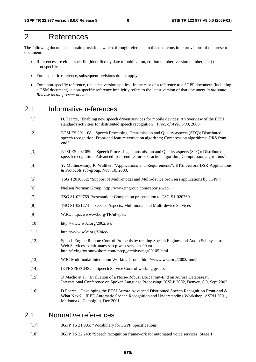# 2 References

The following documents contain provisions which, through reference in this text, constitute provisions of the present document.

- References are either specific (identified by date of publication, edition number, version number, etc.) or non-specific.
- For a specific reference, subsequent revisions do not apply.
- For a non-specific reference, the latest version applies. In the case of a reference to a 3GPP document (including a GSM document), a non-specific reference implicitly refers to the latest version of that document *in the same Release as the present document*.

### 2.1 Informative references

- [1] D. Pearce, "Enabling new speech driven services for mobile devices: An overview of the ETSI standards activities for distributed speech recognition", *Proc. of AVIOS'00*, 2000.
- [2] ETSI ES 201 108: "Speech Processing, Transmission and Quality aspects (STQ); Distributed speech recognition; Front-end feature extraction algorithm; Compression algorithms; DRS front end".
- [3] ETSI ES 202 050: " Speech Processing, Transmission and Quality aspects (STQ); Distributed speech recognition; Advanced front-end feature extraction algorithm; Compression algorithms".
- [4] Y. Muthuswamy, P. Walther, "Applications and Requirements", ETSI Aurora DSR Applications & Protocols sub-group, Nov. 10, 2000.
- [5] TSG T2010652: "Support of Multi-modal and Multi-device browsers applications by 3GPP".
- [6] Nielsen Norman Group: http://www.nngroup.com/reports/wap.
- [7] TSG S1-020769-Presentation: Companion presentation to TSG S1-020769.
- [8] TSG S1-021274 "Service Aspects: Multimodal and Multi-device Services".
- [9] W3C: http://www.w3.org/TR/nl-spec/.
- [10] http://www.w3c.org/2002/ws/.
- [11] http://www.w3c.org/Voice/.
- [12] Speech Engine Remote Control Protocols by treating Speech Engines and Audio Sub-systems as Web Services - draft-maes-sercp-web-services-00.txt: http://flyingfox.snowshore.com/mrcp\_archive/msg00105.html
- [13] W3C Multimodal Interaction Working Group: http://www.w3c.org/2002/mmi/.
- [14] IETF SPEECHSC Speech Service Control working group.
- [15] D Macho et al. "Evaluation of a Noise-Robust DSR Front-End on Aurora Databases", International Conference on Spoken Language Processing; ICSLP 2002, Denver, CO, Sept 2002
- [16] D Pearce, "Developing the ETSI Aurora Advanced Distributed Speech Recognition Front-end & What Next?", IEEE Automatic Speech Recognition and Understanding Workshop; ASRU 2001, Madonna di Campiglio, Dec 2001

### 2.1 Normative references

- [17] 3GPP TS 21.905: "Vocabulary for 3GPP Specifications"
- [18] 3GPP TS 22.243: "Speech recognition framework for automated voice services; Stage 1".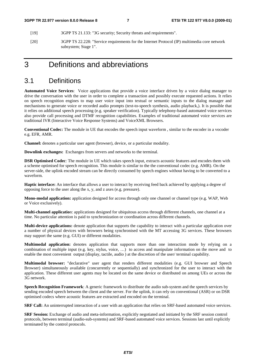- [19] 3GPP TS 21.133: "3G security; Security threats and requirements".
- [20] 3GPP TS 22.228: "Service requirements for the Internet Protocol (IP) multimedia core network subsystem; Stage 1".

# 3 Definitions and abbreviations

### 3.1 Definitions

**Automated Voice Services**: Voice applications that provide a voice interface driven by a voice dialog manager to drive the conversation with the user in order to complete a transaction and possibly execute requested actions. It relies on speech recognition engines to map user voice input into textual or semantic inputs to the dialog manager and mechanisms to generate voice or recorded audio prompts (text-to-speech synthesis, audio playback,). It is possible that it relies on additional speech processing (e.g. speaker verification). Typically telephony-based automated voice services also provide call processing and DTMF recognition capabilities. Examples of traditional automated voice services are traditional IVR (Interactive Voice Response Systems) and VoiceXML Browsers.

**Conventional Codec:** The module in UE that encodes the speech input waveform , similar to the encoder in a vocoder e.g. EFR, AMR.

**Channel:** denotes a particular user agent (browser), device, or a particular modality.

**Downlink exchanges:** Exchanges from servers and networks to the terminal.

**DSR Optimised Codec**: The module in UE which takes speech input, extracts acoustic features and encodes them with a scheme optimised for speech recognition. This module is similar to the the conventional codec (e.g. AMR). On the server-side, the uplink encoded stream can be directly consumed by speech engines without having to be converted to a waveform.

**Haptic interface:** An interface that allows a user to interact by receiving feed back achieved by applying a degree of opposing force to the user along the x, y, and z axes (e.g. pressure).

**Mono-modal application:** application designed for access through only one channel or channel type (e.g. WAP, Web or Voice exclusively).

**Multi-channel applicatio**n: applications designed for ubiquitous access through different channels, one channel at a time. No particular attention is paid to synchronization or coordination across different channels.

**Multi-device applications:** denote application that supports the capability to interact with a particular application over a number of physical devices with browsers being synchronised with the MT accessing 3G services. These browsers may support the same (e.g. GUI) or different modalities.

**Multimodal application:** denotes application that supports more than one interaction mode by relying on a combination of multiple input (e.g. key, stylus, voice, …) to access and manipulate information on the move and to enable the most convenient output (display, tactile, audio ) at the discretion of the user/ terminal capability.

**Multimodal browser:** "declarative" user agent that renders different modalities (e.g. GUI browser and Speech Browser) simultaneously available (concurrently or sequentially) and synchronized for the user to interact with the application. These different user agents may be located on the same device or distributed on among UEs or across the 3G network.

**Speech Recognition Framework**: A generic framework to distribute the audio sub-system and the speech services by sending encoded speech between the client and the server. For the uplink, it can rely on conventional (ASR) or on DSR optimised codecs where acoustic features are extracted and encoded on the terminal.

**SRF Call:** An uninterrupted interaction of a user with an application that relies on SRF-based automated voice services.

**SRF Session:** Exchange of audio and meta-information, explicitly negotiated and initiated by the SRF session control protocols, between terminal (audio-sub-systems) and SRF-based automated voice services. Sessions last until explicitly terminated by the control protocols.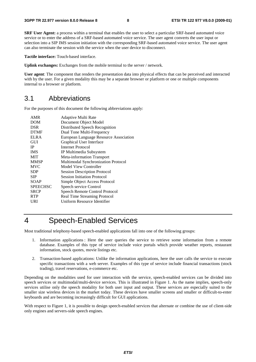**SRF User Agent:** a process within a terminal that enables the user to select a particular SRF-based automated voice service or to enter the address of a SRF-based automated voice service. The user agent converts the user input or selection into a SIP IMS session initiation with the corresponding SRF-based automated voice service. The user agent can also terminate the session with the service when the user device to disconnect.

**Tactile interface:** Touch-based interface.

**Uplink exchanges:** Exchanges from the mobile terminal to the server / network.

**User agent**: The component that renders the presentation data into physical effects that can be perceived and interacted with by the user. For a given modality this may be a separate browser or platform or one or multiple components internal to a browser or platform.

### 3.1 Abbreviations

For the purposes of this document the following abbreviations apply:

| AMR             | Adaptive Multi Rate                    |
|-----------------|----------------------------------------|
| DOM             | Document Object Model                  |
| <b>DSR</b>      | Distributed Speech Recognition         |
| <b>DTMF</b>     | Dual Tone Multi-Frequency              |
| <b>ELRA</b>     | European Language Resource Association |
| GUI             | Graphical User Interface               |
| <b>IP</b>       | Internet Protocol                      |
| <b>IMS</b>      | IP Multimedia Subsystem                |
| <b>MIT</b>      | Meta-information Transport             |
| <b>MMSP</b>     | Multimodal Synchronization Protocol    |
| <b>MVC</b>      | Model View Controller                  |
| <b>SDP</b>      | <b>Session Description Protocol</b>    |
| <b>SIP</b>      | <b>Session Initiation Protocol</b>     |
| SOAP            | Simple Object Access Protocol          |
| <b>SPEECHSC</b> | Speech service Control                 |
| <b>SRCP</b>     | Speech Remote Control Protocol         |
| <b>RTP</b>      | Real Time Streaming Protocol           |
| URI             | Uniform Resource Identifier            |
|                 |                                        |

# 4 Speech-Enabled Services

Most traditional telephony-based speech-enabled applications fall into one of the following groups:

- 1. Information applications : Here the user queries the service to retrieve some information from a remote database. Examples of this type of service include voice portals which provide weather reports, restaurant information, stock quotes, movie listings etc.
- 2. Transaction-based applications: Unlike the information applications, here the user calls the service to execute specific transactions with a web server. Examples of this type of service include financial transactions (stock trading), travel reservations, e-commerce etc.

Depending on the modalities used for user interaction with the service, speech-enabled services can be divided into speech services or multimodal/multi-device services. This is illustrated in Figure 1. As the name implies, speech-only services utilise only the speech modality for both user input and output. These services are especially suited to the smaller size wireless devices in the market today. These devices have smaller screens and smaller or difficult-to-enter keyboards and are becoming increasingly difficult for GUI applications.

With respect to Figure 1, it is possible to design speech-enabled services that alternate or combine the use of client-side only engines and servers-side speech engines.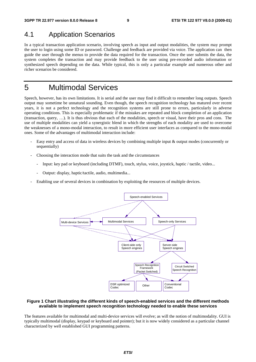# 4.1 Application Scenarios

In a typical transaction application scenario, involving speech as input and output modalities, the system may prompt the user to login using some ID or password. Challenge and feedback are provided via voice. The application can then guide the user through the menus to provide the data required for the transaction. Once the user submits the data, the system completes the transaction and may provide feedback to the user using pre-recorded audio information or synthesized speech depending on the data. While typical, this is only a particular example and numerous other and richer scenarios be considered.

# 5 Multimodal Services

Speech, however, has its own limitations. It is serial and the user may find it difficult to remember long outputs. Speech output may sometime be unnatural sounding. Even though, the speech recognition technology has matured over recent years, it is not a perfect technology and the recognition systems are still prone to errors, particularly in adverse operating conditions. This is especially problematic if the mistakes are repeated and block completion of an application (transaction, query, …). It is thus obvious that each of the modalities, speech or visual, have their pros and cons. The use of multiple modalities can yield a synergistic blend in which the strengths of each modality are used to overcome the weaknesses of a mono-modal interaction, to result in more efficient user interfaces as compared to the mono-modal ones. Some of the advantages of multimodal interaction include:

- Easy entry and access of data in wireless devices by combining multiple input & output modes (concurrently or sequentially)
- Choosing the interaction mode that suits the task and the circumstances
	- Input: key pad or keyboard (including DTMF), touch, stylus, voice, joystick, haptic / tactile, video...
	- Output: display, haptic/tactile, audio, multimedia...
- Enabling use of several devices in combination by exploiting the resources of multiple devices.



#### **Figure 1 Chart illustrating the different kinds of speech-enabled services and the different methods available to implement speech recognition technology needed to enable these services**

The features available for multimodal and multi-device services will evolve; as will the notion of multimodality. GUI is typically multimodal (display, keypad or keyboard and pointer); but it is now widely considered as a particular channel characterized by well established GUI programming patterns.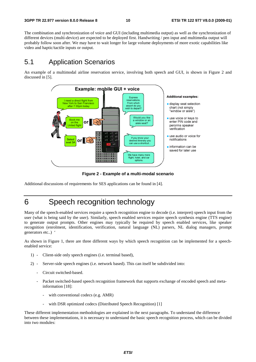The combination and synchronization of voice and GUI (including multimedia output) as well as the synchronization of different devices (multi-device) are expected to be deployed first. Handwriting / pen input and multimedia output will probably follow soon after. We may have to wait longer for large volume deployments of more exotic capabilities like video and haptic/tactile inputs or output.

### 5.1 Application Scenarios

An example of a multimodal airline reservation service, involving both speech and GUI, is shown in Figure 2 and discussed in [5].



**Figure 2 - Example of a multi-modal scenario** 

Additional discussions of requirements for SES applications can be found in [4].

# 6 Speech recognition technology

Many of the speech-enabled services require a speech recognition engine to decode (i.e. interpret) speech input from the user (what is being said by the user). Similarly, speech enabled services require speech synthesis engine (TTS engine) to generate output prompts. Other engines may typically be required by speech enabled services, like speaker recognition (enrolment, identification, verification, natural language (NL) parsers, NL dialog managers, prompt generators etc..) '

As shown in Figure 1, there are three different ways by which speech recognition can be implemented for a speechenabled service:

- 1) Client-side only speech engines (i.e. terminal based),
- 2) Server-side speech engines (i.e. network based). This can itself be subdivided into:
	- Circuit switched-based.
	- Packet switched-based speech recognition framework that supports exchange of encoded speech and metainformation [18]:
		- with conventional codecs (e.g. AMR)
		- with DSR optimized codecs (Distributed Speech Recognition) [1]

These different implementation methodologies are explained in the next paragraphs. To understand the difference between these implementations, it is necessary to understand the basic speech recognition process, which can be divided into two modules: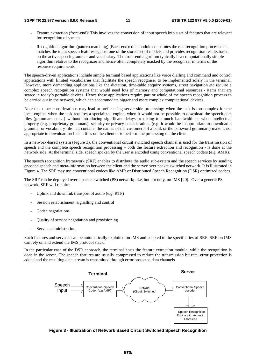- Feature extraction (front-end): This involves the conversion of input speech into a set of features that are relevant for recognition of speech.
- Recognition algorithm (pattern matching) (Back-end): this module constitutes the real recognition process that matches the input speech features against one of the stored set of models and provides recognition results based on the active speech grammar and vocabulary. The front-end algorithm typically is a computationally simple algorithm relative to the recognizer and hence often completely masked by the recognizer in terms of the resource requirements.

The speech-driven applications include simple terminal based applications like voice dialling and command and control applications with limited vocabularies that facilitate the speech recogniser to be implemented solely in the terminal. However, more demanding applications like the dictation, time-table enquiry systems, street navigation etc require a complex speech recognition systems that would need lots of memory and computational resources - items that are scarce in today's portable devices. Hence these applications require part or whole of the speech recognition process to be carried out in the network, which can accommodate bigger and more complex computational devices.

Note that other considerations may lead to prefer using server-side processing: when the task is too complex for the local engine, when the task requires a specialized engine, when it would not be possible to download the speech data files (grammars etc…) without introducing significant delays or taking too much bandwidth or when intellectual property (e.g. proprietary grammars), security or privacy considerations (e.g. it would be inappropriate to download a grammar or vocabulary file that contains the names of the customers of a bank or the password grammars) make it not appropriate to download such data files on the client or to perform the processing on the client.

In a network-based system (Figure 3), the conventional circuit switched speech channel is used for the transmission of speech and the complete speech recognition processing – both the feature extraction and recognition - is done at the network side. At the terminal side, speech spoken by the user is encoded using conventional speech coders (e.g. AMR).

The speech recognition framework (SRF) enables to distribute the audio sub-system and the speech services by sending encoded speech and meta-information between the client and the server over packet switched network. It is illustrated in Figure 4. The SRF may use conventional codecs like AMR or Distributed Speech Recognition (DSR) optimized codecs.

The SRF can be deployed over a packet switched (PS) network; like, but not only, on IMS [20]. Over a generic PS network, SRF will require:

- Uplink and downlink transport of audio (e.g. RTP)
- Session establishment, signalling and control
- Codec negotiations
- Quality of service negotiation and provisioning
- Service administration.

Such features and services can be automatically exploited on IMS and adapted to the specificities of SRF. SRF on IMS can rely on and extend the IMS protocol stack.

In the particular case of the DSR approach, the terminal hosts the feature extraction module, while the recognition is done in the server. The speech features are usually compressed to reduce the transmission bit rate, error protection is added and the resulting data stream is transmitted through error protected data channels.



**Figure 3 - Illustration of Network Based Circuit Switched Speech Recognition**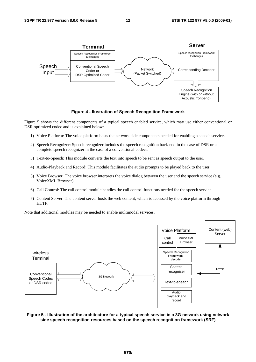

**Figure 4 - Ilustration of Speech Recognition Framework** 

Figure 5 shows the different components of a typical speech enabled service, which may use either conventional or DSR optimized codec and is explained below:

- 1) Voice Platform: The voice platform hosts the network side components needed for enabling a speech service.
- 2) Speech Recognizer: Speech recognizer includes the speech recognition back-end in the case of DSR or a complete speech recognizer in the case of a conventional codecs.
- 3) Text-to-Speech: This module converts the text into speech to be sent as speech output to the user.
- 4) Audio-Playback and Record: This module facilitates the audio prompts to be played back to the user.
- 5) Voice Browser: The voice browser interprets the voice dialog between the user and the speech service (e.g. VoiceXML Browser).
- 6) Call Control: The call control module handles the call control functions needed for the speech service.
- 7) Content Server: The content server hosts the web content, which is accessed by the voice platform through HTTP.

Note that additional modules may be needed to enable multimodal services.



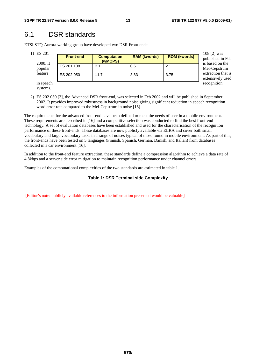# 6.1 DSR standards

ETSI STQ-Aurora working group have developed two DSR Front-ends:

| 1) ES 201<br>2000. It<br>popular<br>feature | <b>Front-end</b>         | <b>Computation</b><br>(wMOPS) | <b>RAM (kwords)</b> | <b>ROM (kwords)</b> | 108 $[2]$ was<br>published in Feb<br>is based on the |
|---------------------------------------------|--------------------------|-------------------------------|---------------------|---------------------|------------------------------------------------------|
|                                             | ES 201 108<br>ES 202 050 | 3.1<br>11.7                   | 0.6<br>3.83         | 2.1<br>3.75         | Mel-Cepstrum<br>extraction that is                   |
| in speech<br>.                              |                          |                               |                     |                     | extensively used<br>recognition                      |

systems.

2) ES 202 050 [3], the Advanced DSR front-end, was selected in Feb 2002 and will be published in September 2002. It provides improved robustness in background noise giving significant reduction in speech recognition word error rate compared to the Mel-Cepstrum in noise [15].

The requirements for the advanced front-end have been defined to meet the needs of user in a mobile environment. These requirements are described in [16] and a competitive selection was conducted to find the best front-end technology. A set of evaluation databases have been established and used for the characterisation of the recognition performance of these front-ends. These databases are now publicly available via ELRA and cover both small vocabulary and large vocabulary tasks in a range of noises typical of those found in mobile environment. As part of this, the front-ends have been tested on 5 languages (Finnish, Spanish, German, Danish, and Italian) from databases collected in a car environment [16].

In addition to the front-end feature extraction, these standards define a compression algorithm to achieve a data rate of 4.8kbps and a server side error mitigation to maintain recognition performance under channel errors.

Examples of the computational complexities of the two standards are estimated in table 1.

#### **Table 1: DSR Terminal side Complexity**

[Editor's note: publicly available references to the information presented would be valuable]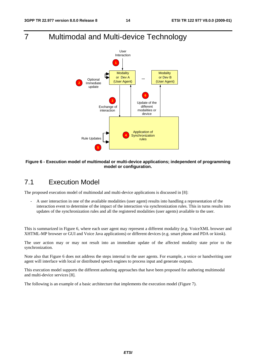# 7 Multimodal and Multi-device Technology



#### **Figure 6 - Execution model of multimodal or multi-device applications; independent of programming model or configuration.**

# 7.1 Execution Model

The proposed execution model of multimodal and multi-device applications is discussed in [8]:

- A user interaction in one of the available modalities (user agent) results into handling a representation of the interaction event to determine of the impact of the interaction via synchronization rules. This in turns results into updates of the synchronization rules and all the registered modalities (user agents) available to the user.

This is summarized in Figure 6, where each user agent may represent a different modality (e.g. VoiceXML browser and XHTML-MP browser or GUI and Voice Java applications) or different devices (e.g. smart phone and PDA or kiosk).

The user action may or may not result into an immediate update of the affected modality state prior to the synchronization.

Note also that Figure 6 does not address the steps internal to the user agents. For example, a voice or handwriting user agent will interface with local or distributed speech engines to process input and generate outputs.

This execution model supports the different authoring approaches that have been proposed for authoring multimodal and multi-device services [8].

The following is an example of a basic architecture that implements the execution model (Figure 7).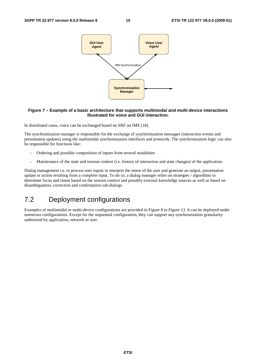

#### **Figure 7 – Example of a basic architecture that supports multimodal and multi-device interactions illustrated for voice and GUI interaction.**

In distributed cases, voice can be exchanged based on SRF on IMS [18].

The synchronization manager is responsible for the exchange of synchronization messages (interaction events and presentation updates) using the multimodal synchronization interfaces and protocols. The synchronization logic can also be responsible for functions like:

- Ordering and possible composition of inputs from several modalities
- Maintenance of the state and session context (i.e. history of interaction and state changes) of the application.

Dialog management i.e. to process user inputs to interpret the intent of the user and generate an output, presentation update or action resulting from a complete input. To do so, a dialog manager relies on strategies / algorithms to determine focus and intent based on the session context and possibly external knowledge sources as well as based on disambiguation, correction and confirmation sub-dialogs.

# 7.2 Deployment configurations

Examples of multimodal or multi-device configurations are provided in Figure 8 to Figure 13. It can be deployed under numerous configurations. Except for the sequential configuration, they can support any synchronization granularity authorized by application, network or user.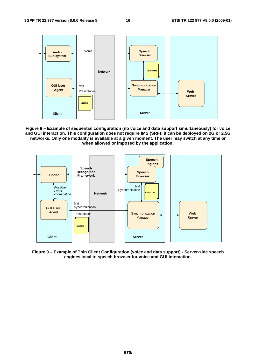

**Figure 8 – Example of sequential configuration (no voice and data support simultaneously) for voice and GUI interaction. This configuration does not require IMS (SRF): it can be deployed on 2G or 2.5G networks. Only one modality is available at a given moment. The user may switch at any time or when allowed or imposed by the application.** 



**Figure 9 – Example of Thin Client Configuration (voice and data support) - Server-side speech engines local to speech browser for voice and GUI interaction.**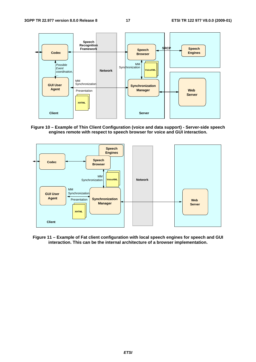

**Figure 10 – Example of Thin Client Configuration (voice and data support) - Server-side speech engines remote with respect to speech browser for voice and GUI interaction.** 



**Figure 11 – Example of Fat client configuration with local speech engines for speech and GUI interaction. This can be the internal architecture of a browser implementation.**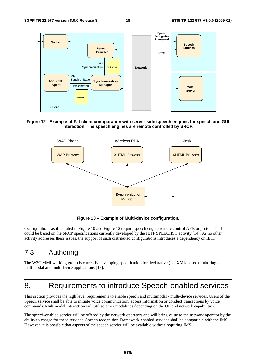

#### **Figure 12 - Example of Fat client configuration with server-side speech engines for speech and GUI interaction. The speech engines are remote controlled by SRCP.**



**Figure 13 – Example of Multi-device configuration.** 

Configurations as illustrated in Figure 10 and Figure 12 require speech engine remote control APIs or protocols. This could be based on the SRCP specifications currently developed by the IETF SPEECHSC activity [14]. As no other activity addresses these issues, the support of such distributed configurations introduces a dependency on IETF.

# 7.3 Authoring

The W3C MMI working group is currently developing specification for declarative (i.e. XML-based) authoring of multimodal and multidevice applications [13].

# 8. Requirements to introduce Speech-enabled services

This section provides the high level requirements to enable speech and multimodal / multi-device services. Users of the Speech service shall be able to initiate voice communication, access information or conduct transactions by voice commands. Multimodal interaction will utilise other modalities depending on the UE and network capabilities.

The speech-enabled service will be offered by the network operators and will bring value to the network operator by the ability to charge for these services. Speech recognition Framework-enabled services shall be compatible with the IMS. However, it is possible that aspects of the speech service will be available without requiring IMS.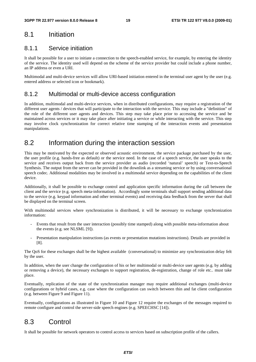### 8.1 Initiation

### 8.1.1 Service initiation

It shall be possible for a user to initiate a connection to the speech-enabled service, for example, by entering the identity of the service. The identity used will depend on the scheme of the service provider but could include a phone number, an IP address or even a URI.

Multimodal and multi-device services will allow URI-based initiation entered in the terminal user agent by the user (e.g. entered address or selected icon or bookmark).

### 8.1.2 Multimodal or multi-device access configuration

In addition, multimodal and multi-device services, when in distributed configurations, may require a registration of the different user agents / devices that will participate to the interaction with the service. This may include a "definition" of the role of the different user agents and devices. This step may take place prior to accessing the service and be maintained across services or it may take place after initiating a service or while interacting with the service. This step may involve clock synchronization for correct relative time stamping of the interaction events and presentation manipulations.

### 8.2 Information during the interaction session

This may be motivated by the expected or observed acoustic environment, the service package purchased by the user, the user profile (e.g. hands-free as default) or the service need. In the case of a speech service, the user speaks to the service and receives output back from the service provider as audio (recorded 'natural' speech) or Text-to-Speech Synthesis. The output from the server can be provided in the downlink as a streaming service or by using conversational speech codec. Additional modalities may be involved in a multimodal service depending on the capabilities of the client device.

Additionally, it shall be possible to exchange control and application specific information during the call between the client and the service (e.g. speech meta-information). Accordingly some terminals shall support sending additional data to the service (e.g. keypad information and other terminal events) and receiving data feedback from the server that shall be displayed on the terminal screen.

With multimodal services where synchronization is distributed, it will be necessary to exchange synchronization information:

- Events that result from the user interaction (possibly time stamped) along with possible meta-information about the events (e.g. see NLSML [9]).
- Presentation manipulation instructions (as events or presentation mutations instructions). Details are provided in [8].

The QoS for these exchanges shall be the highest available (conversational) to minimize any synchronization delay felt by the user.

In addition, when the user change the configuration of his or her multimodal or multi-device user agents (e.g. by adding or removing a device), the necessary exchanges to support registration, de-registration, change of role etc.. must take place.

Eventually, replication of the state of the synchronization manager may require additional exchanges (multi-device configurations or hybrid cases, e.g. case where the configuration can switch between thin and fat client configuration (e.g. between Figure 9 and Figure 11).

Eventually, configurations as illustrated in Figure 10 and Figure 12 require the exchanges of the messages required to remote configure and control the server-side speech engines (e.g. SPEECHSC [14]).

# 8.3 Control

It shall be possible for network operators to control access to services based on subscription profile of the callers.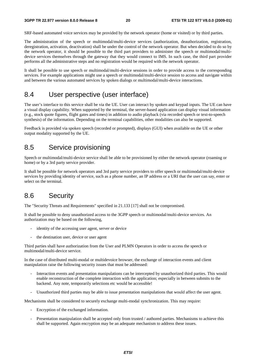SRF-based automated voice services may be provided by the network operator (home or visited) or by third parties.

The administration of the speech or multimodal/multi-device services (authorization, deauthorization, registration, deregistration, activation, deactivation) shall be under the control of the network operator. But when decided to do so by the network operator, it should be possible to the third part providers to administer the speech or multimodal/multidevice services themselves through the gateway that they would connect to IMS. In such case, the third part provider performs all the administrative steps and no registration would be required with the network operator.

It shall be possible to use speech or multimodal/multi-device sessions in order to provide access to the corresponding services. For example applications might use a speech or multimodal/multi-device session to access and navigate within and between the various automated services by spoken dialogs or multimodal/multi-device interactions.

### 8.4 User perspective (user interface)

The user's interface to this service shall be via the UE. User can interact by spoken and keypad inputs. The UE can have a visual display capability. When supported by the terminal, the server-based application can display visual information (e.g., stock quote figures, flight gates and times) in addition to audio playback (via recorded speech or text-to-speech synthesis) of the information. Depending on the terminal capabilities, other modalities can also be supported.

Feedback is provided via spoken speech (recorded or prompted), displays (GUI) when available on the UE or other output modality supported by the UE.

### 8.5 Service provisioning

Speech or multimodal/multi-device service shall be able to be provisioned by either the network operator (roaming or home) or by a 3rd party service provider.

It shall be possible for network operators and 3rd party service providers to offer speech or multimodal/multi-device services by providing identity of service, such as a phone number, an IP address or a URI that the user can say, enter or select on the terminal.

# 8.6 Security

The "Security Threats and Requirements" specified in 21.133 [17] shall not be compromised.

It shall be possible to deny unauthorized access to the 3GPP speech or multimodal/multi-device services. An authorization may be based on the following,

- identity of the accessing user agent, server or device
- the destination user, device or user agent

Third parties shall have authorization from the User and PLMN Operators in order to access the speech or multimodal/multi-device service.

In the case of distributed multi-modal or multidevoice browser, the exchange of interaction events and client manipulation raise the following security issues that must be addressed:

- Interaction events and presentation manipulations can be intercepted by unauthorized third parties. This would enable reconstruction of the complete interaction with the application; especially in between submits to the backend. Any note, temporarily selections etc would be accessible!
- Unauthorized third parties may be able to issue presentation manipulations that would affect the user agent.

Mechanisms shall be considered to securely exchange multi-modal synchronization. This may require:

- Encryption of the exchanged information.
- Presentation manipulation shall be accepted only from trusted / authored parties. Mechanisms to achieve this shall be supported. Again encryption may be an adequate mechanism to address these issues.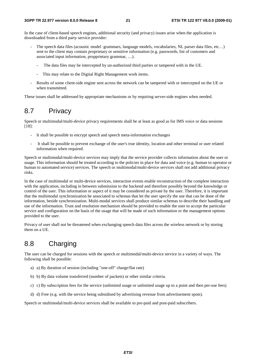In the case of client-based speech engines, additional security (and privacy) issues arise when the application is downloaded from a third party service provider:

- The speech data files (acoustic model grammars, language models, vocabularies, NL parser data files, etc...) sent to the client may contain proprietary or sensitive information (e.g. passwords, list of customers and associated input information, propprietary grammar, …).
	- The data files may be intercepted by un-authorized third parties or tampered with in the UE.
	- This may relate to the Digital Right Management work items.
- Results of some client-side engine sent across the network can be tampered with or intercepted on the UE or when transmitted.

These issues shall be addressed by appropriate mechanisms or by requiring server-side engines when needed.

# 8.7 Privacy

Speech or multimodal/multi-device privacy requirements shall be at least as good as for IMS voice or data sessions [18]:

- It shall be possible to encrypt speech and speech meta-information exchanges
- It shall be possible to prevent exchange of the user's true identity, location and other terminal or user related information when required.

Speech or multimodal/multi-device services may imply that the service provider collects information about the user or usage. This information should be treated according to the policies in place for data and voice (e.g. human to operator or human to automated service) services. The speech or multimodal/multi-device services shall not add additional privacy risks.

In the case of multimodal or multi-device services, interaction events enable reconstruction of the complete interaction with the application, including in between submission to the backend and therefore possibly beyond the knowledge or control of the user. This information or aspect of it may be considered as private by the user. Therefore, it is important that the multimodal synchronization be associated to schemas that let the user specify the use that can be done of the information, beside synchronization. Multi-modal services shall produce similar schemas to describe their handling and use of the information. Trust and resolution mechanism should be provided to enable the user to accept the particular service and configuration on the basis of the usage that will be made of such information or the management options provided to the user.

Privacy of user shall not be threatened when exchanging speech data files across the wireless network or by storing them on a UE.

# 8.8 Charging

The user can be charged for sessions with the speech or multimodal/multi-device service in a variety of ways. The following shall be possible:

- a) a) By duration of session (including "one-off" charge/flat rate)
- b) b) By data volume transferred (number of packets) or other similar criteria.
- c) c) By subscription fees for the service (unlimited usage or unlimited usage up to a point and then per-use fees)
- d) d) Free (e.g. with the service being subsidised by advertising revenue from advertisement spots).

Speech or multimodal/multi-device services shall be available to pre-paid and post-paid subscribers.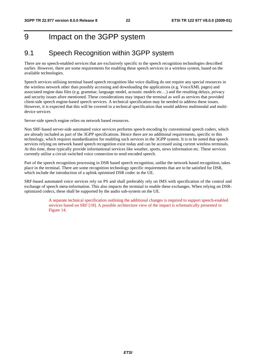# 9 Impact on the 3GPP system

### 9.1 Speech Recognition within 3GPP system

There are no speech-enabled services that are exclusively specific to the speech recognition technologies described earlier. However, there are some requirements for enabling these speech services in a wireless system, based on the available technologies.

Speech services utilising terminal based speech recognition like voice dialling do not require any special resources in the wireless network other than possibly accessing and downloading the applications (e.g. VoiceXML pages) and associated engine data files (e.g. grammar, language model, acoustic models etc…) and the resulting delays, privacy and security issues afore mentioned. These considerations may impact the terminal as well as services that provided client-side speech engine-based speech services. A technical specification may be needed to address these issues. However, it is expected that this will be covered in a technical specification that would address multimodal and multidevice services

Server-side speech engine relies on network based resources.

Non SRF-based server-side automated voice services performs speech encoding by conventional speech coders, which are already included as part of the 3GPP specifications. Hence there are no additional requirements, specific to this technology, which requires standardisation for enabling such services in the 3GPP system. It is to be noted that speech services relying on network based speech recognition exist today and can be accessed using current wireless terminals. At this time, these typically provide informational services like weather, sports, news information etc. These services currently utilise a circuit switched voice connection to send encoded speech.

Part of the speech recognition processing in DSR based speech recognition, unlike the network based recognition, takes place in the terminal. There are some recognition technology specific requirements that are to be satisfied for DSR, which include the introduction of a uplink optimised DSR codec in the UE.

SRF-based automated voice services rely on PS and shall preferably rely on IMS with specification of the control and exchange of speech meta-information. This also impacts the terminal to enable these exchanges. When relying on DSRoptimized codecs, these shall be supported by the audio sub-system on the UE.

> A separate technical specification outlining the additional changes is required to support speech-enabled services based on SRF [18]. A possible architecture view of the impact is schematically presented in Figure 14.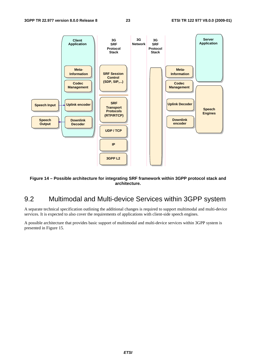

#### **Figure 14 – Possible architecture for integrating SRF framework within 3GPP protocol stack and architecture.**

# 9.2 Multimodal and Multi-device Services within 3GPP system

A separate technical specification outlining the additional changes is required to support multimodal and multi-device services. It is expected to also cover the requirements of applications with client-side speech engines.

A possible architecture that provides basic support of multimodal and multi-device services within 3GPP system is presented in Figure 15.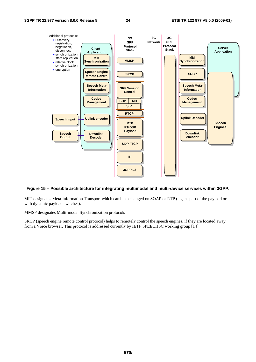

#### **Figure 15 – Possible architecture for integrating multimodal and multi-device services within 3GPP.**

MIT designates Meta-information Transport which can be exchanged on SOAP or RTP (e.g. as part of the payload or with dynamic payload switches).

MMSP designates Multi-modal Synchronization protocols

SRCP (speech engine remote control protocol) helps to remotely control the speech engines, if they are located away from a Voice browser. This protocol is addressed currently by IETF SPEECHSC working group [14].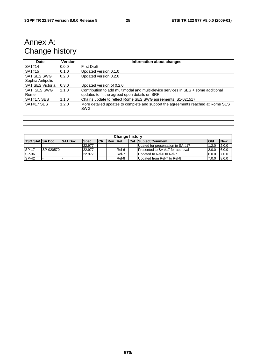# Annex A: Change history

| Date              | <b>Version</b> | Information about changes                                                         |
|-------------------|----------------|-----------------------------------------------------------------------------------|
| SA1#14            | 0.0.0          | <b>First Draft</b>                                                                |
| SA1#15            | 0.1.0          | Updated version 0.1.0                                                             |
| SA1 SES SWG       | 0.2.0          | Updated version 0.2.0                                                             |
| Sophia Antipolis  |                |                                                                                   |
| SA1 SES Victoria  | 0.3.0          | Updated version of 0.2.0                                                          |
| SA1, SES SWG      | 1.1.0          | Contribution to add multimodal and multi-device services in SES + some additional |
| Rome              |                | updates to fit the agreed upon details on SRF.                                    |
| SA1#17, SES       | 1.1.0          | Chair's update to reflect Rome SES SWG agreements: S1-021517.                     |
| <b>SA1#17 SES</b> | 1.2.0          | More detailed updates to complete and support the agreements reached at Rome SES  |
|                   |                | SWG.                                                                              |
|                   |                |                                                                                   |
|                   |                |                                                                                   |
|                   |                |                                                                                   |

| <b>Change history</b> |           |                |             |      |                |       |  |                                   |       |            |
|-----------------------|-----------|----------------|-------------|------|----------------|-------|--|-----------------------------------|-------|------------|
| TSG SA#  SA Doc.      |           | <b>SA1 Doc</b> | <b>Spec</b> | ICR. | <b>Rev Rel</b> |       |  | <b>Cat Subject/Comment</b>        | Old   | <b>New</b> |
|                       |           |                | 22.977      |      |                |       |  | Udated for presentation to SA #17 | 1.2.0 | 2.0.0      |
| SP-17                 | SP-020570 |                | 22.977      |      |                | Rel-6 |  | Presented to SA #17 for approval  | 2.0.0 | 6.0.0      |
| SP-36                 |           |                | 22.977      |      |                | Rel-7 |  | Updated to Rel-6 to Rel-7         | 6.0.0 | 7.0.0      |
| SP-42                 |           |                |             |      |                | Rel-8 |  | Updated from Rel-7 to Rel-8       | 7.0.0 | 8.0.0      |